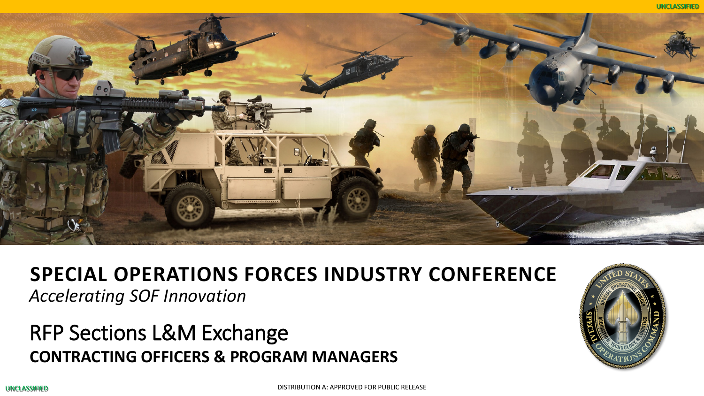



#### **SPECIAL OPERATIONS FORCES INDUSTRY CONFERENCE**

*Accelerating SOF Innovation*

## RFP Sections L&M Exchange **CONTRACTING OFFICERS & PROGRAM MANAGERS**

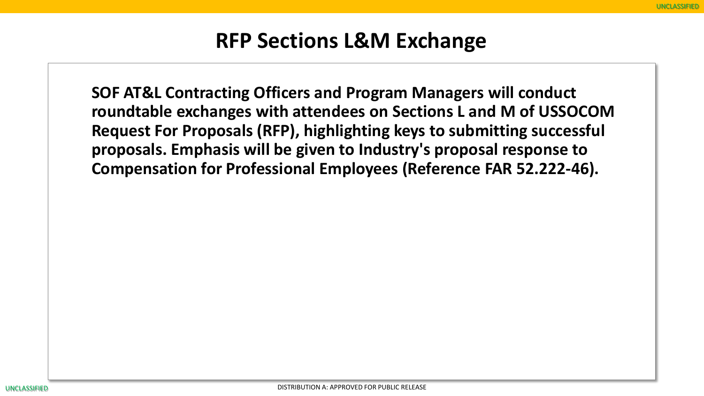## **RFP Sections L&M Exchange**

**SOF AT&L Contracting Officers and Program Managers will conduct roundtable exchanges with attendees on Sections L and M of USSOCOM Request For Proposals (RFP), highlighting keys to submitting successful proposals. Emphasis will be given to Industry's proposal response to Compensation for Professional Employees (Reference FAR 52.222-46).**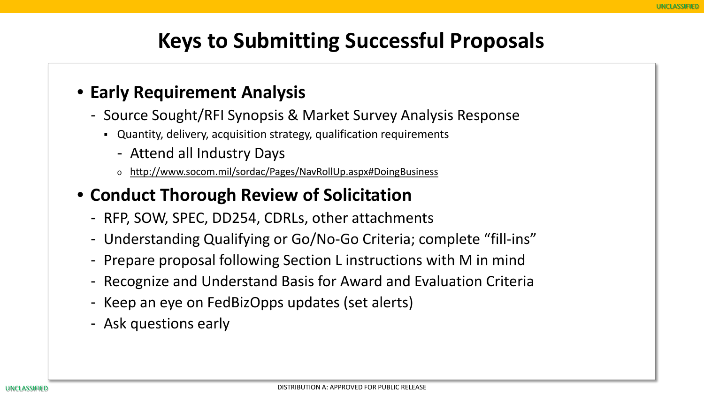# **Keys to Submitting Successful Proposals**

#### • **Early Requirement Analysis**

- Source Sought/RFI Synopsis & Market Survey Analysis Response
	- Quantity, delivery, acquisition strategy, qualification requirements
		- Attend all Industry Days
		- o http://www.socom.mil/sordac/Pages/NavRollUp.aspx#DoingBusiness

#### • **Conduct Thorough Review of Solicitation**

- RFP, SOW, SPEC, DD254, CDRLs, other attachments
- Understanding Qualifying or Go/No-Go Criteria; complete "fill-ins"
- Prepare proposal following Section L instructions with M in mind
- Recognize and Understand Basis for Award and Evaluation Criteria
- Keep an eye on FedBizOpps updates (set alerts)
- Ask questions early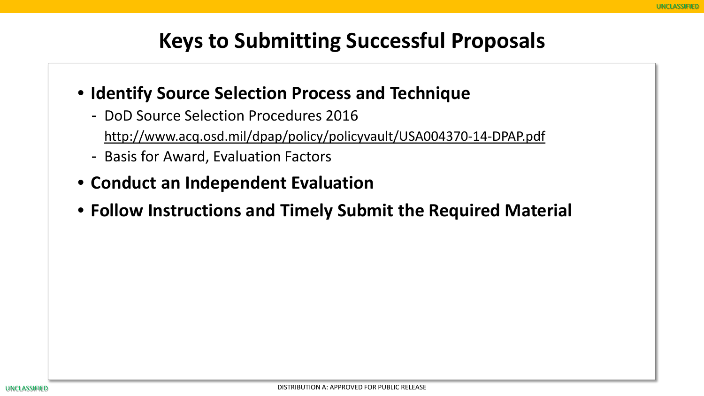# **Keys to Submitting Successful Proposals**

- **Identify Source Selection Process and Technique**
	- DoD Source Selection Procedures 2016

http://www.acq.osd.mil/dpap/policy/policyvault/USA004370-14-DPAP.pdf

- Basis for Award, Evaluation Factors
- **Conduct an Independent Evaluation**
- **Follow Instructions and Timely Submit the Required Material**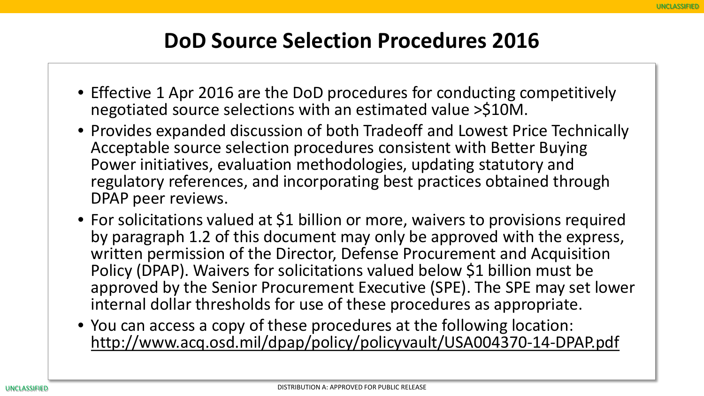#### **DoD Source Selection Procedures 2016**

- Effective 1 Apr 2016 are the DoD procedures for conducting competitively negotiated source selections with an estimated value >\$10M.
- Provides expanded discussion of both Tradeoff and Lowest Price Technically Acceptable source selection procedures consistent with Better Buying Power initiatives, evaluation methodologies, updating statutory and regulatory references, and incorporating best practices obtained through DPAP peer reviews.
- For solicitations valued at \$1 billion or more, waivers to provisions required by paragraph 1.2 of this document may only be approved with the express, written permission of the Director, Defense Procurement and Acquisition Policy (DPAP). Waivers for solicitations valued below \$1 billion must be approved by the Senior Procurement Executive (SPE). The SPE may set lower internal dollar thresholds for use of these procedures as appropriate.
- You can access a copy of these procedures at the following location: http://www.acq.osd.mil/dpap/policy/policyvault/USA004370-14-DPAP.pdf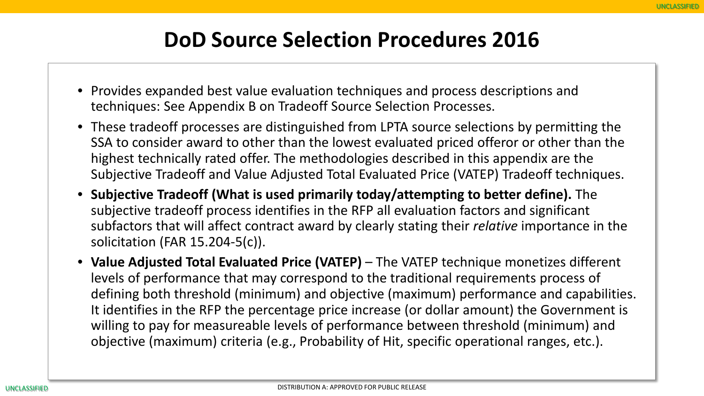## **DoD Source Selection Procedures 2016**

- Provides expanded best value evaluation techniques and process descriptions and techniques: See Appendix B on Tradeoff Source Selection Processes.
- These tradeoff processes are distinguished from LPTA source selections by permitting the SSA to consider award to other than the lowest evaluated priced offeror or other than the highest technically rated offer. The methodologies described in this appendix are the Subjective Tradeoff and Value Adjusted Total Evaluated Price (VATEP) Tradeoff techniques.
- **Subjective Tradeoff (What is used primarily today/attempting to better define).** The subjective tradeoff process identifies in the RFP all evaluation factors and significant subfactors that will affect contract award by clearly stating their *relative* importance in the solicitation (FAR 15.204-5(c)).
- **Value Adjusted Total Evaluated Price (VATEP)**  The VATEP technique monetizes different levels of performance that may correspond to the traditional requirements process of defining both threshold (minimum) and objective (maximum) performance and capabilities. It identifies in the RFP the percentage price increase (or dollar amount) the Government is willing to pay for measureable levels of performance between threshold (minimum) and objective (maximum) criteria (e.g., Probability of Hit, specific operational ranges, etc.).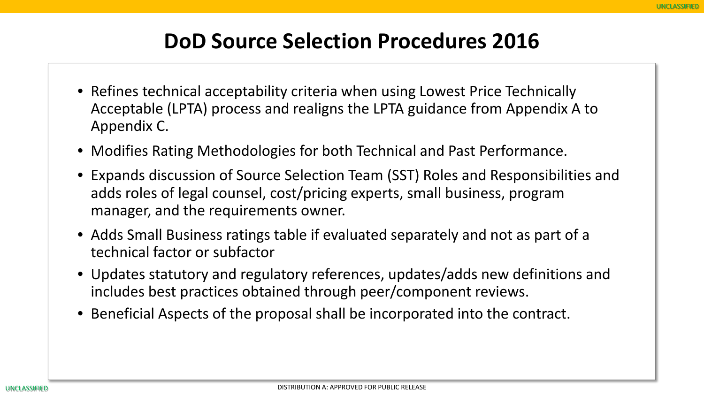#### **DoD Source Selection Procedures 2016**

- Refines technical acceptability criteria when using Lowest Price Technically Acceptable (LPTA) process and realigns the LPTA guidance from Appendix A to Appendix C.
- Modifies Rating Methodologies for both Technical and Past Performance.
- Expands discussion of Source Selection Team (SST) Roles and Responsibilities and adds roles of legal counsel, cost/pricing experts, small business, program manager, and the requirements owner.
- Adds Small Business ratings table if evaluated separately and not as part of a technical factor or subfactor
- Updates statutory and regulatory references, updates/adds new definitions and includes best practices obtained through peer/component reviews.
- Beneficial Aspects of the proposal shall be incorporated into the contract.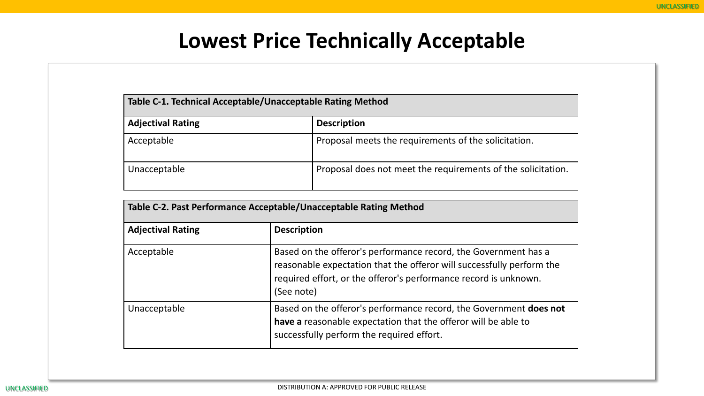#### **Lowest Price Technically Acceptable**

| Table C-1. Technical Acceptable/Unacceptable Rating Method |                                                              |  |
|------------------------------------------------------------|--------------------------------------------------------------|--|
| <b>Adjectival Rating</b>                                   | <b>Description</b>                                           |  |
| Acceptable                                                 | Proposal meets the requirements of the solicitation.         |  |
| Unacceptable                                               | Proposal does not meet the requirements of the solicitation. |  |

| Table C-2. Past Performance Acceptable/Unacceptable Rating Method |                                                                                                                                                                                                                            |  |
|-------------------------------------------------------------------|----------------------------------------------------------------------------------------------------------------------------------------------------------------------------------------------------------------------------|--|
| <b>Adjectival Rating</b>                                          | <b>Description</b>                                                                                                                                                                                                         |  |
| Acceptable                                                        | Based on the offeror's performance record, the Government has a<br>reasonable expectation that the offeror will successfully perform the<br>required effort, or the offeror's performance record is unknown.<br>(See note) |  |
| Unacceptable                                                      | Based on the offeror's performance record, the Government does not<br>have a reasonable expectation that the offeror will be able to<br>successfully perform the required effort.                                          |  |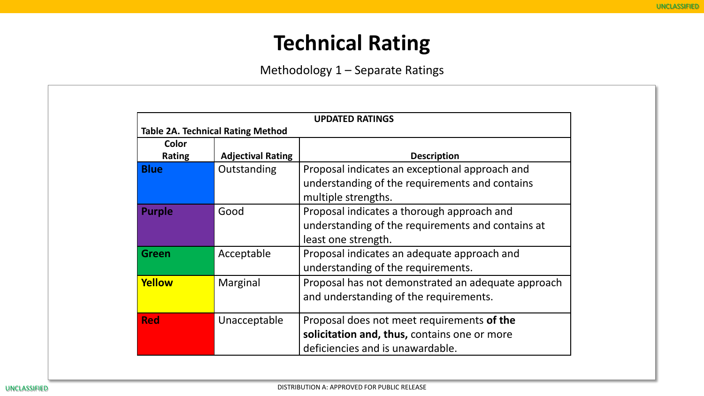## **Technical Rating**

Methodology 1 – Separate Ratings

|                        | <b>UPDATED RATINGS</b>                   |                                                                                                                                |  |  |  |
|------------------------|------------------------------------------|--------------------------------------------------------------------------------------------------------------------------------|--|--|--|
|                        | <b>Table 2A. Technical Rating Method</b> |                                                                                                                                |  |  |  |
| Color<br><b>Rating</b> | <b>Adjectival Rating</b>                 | <b>Description</b>                                                                                                             |  |  |  |
| <b>Blue</b>            | Outstanding                              | Proposal indicates an exceptional approach and<br>understanding of the requirements and contains<br>multiple strengths.        |  |  |  |
| <b>Purple</b>          | Good                                     | Proposal indicates a thorough approach and<br>understanding of the requirements and contains at<br>least one strength.         |  |  |  |
| <b>Green</b>           | Acceptable                               | Proposal indicates an adequate approach and<br>understanding of the requirements.                                              |  |  |  |
| Yellow                 | Marginal                                 | Proposal has not demonstrated an adequate approach<br>and understanding of the requirements.                                   |  |  |  |
| <b>Red</b>             | Unacceptable                             | Proposal does not meet requirements of the<br>solicitation and, thus, contains one or more<br>deficiencies and is unawardable. |  |  |  |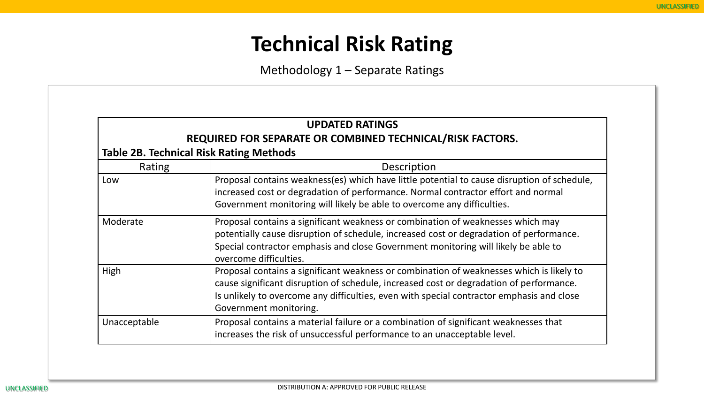# **Technical Risk Rating**

Methodology 1 – Separate Ratings

|                                                | <b>UPDATED RATINGS</b>                                                                                                                                                                                                                                                                                     |  |
|------------------------------------------------|------------------------------------------------------------------------------------------------------------------------------------------------------------------------------------------------------------------------------------------------------------------------------------------------------------|--|
|                                                | REQUIRED FOR SEPARATE OR COMBINED TECHNICAL/RISK FACTORS.                                                                                                                                                                                                                                                  |  |
| <b>Table 2B. Technical Risk Rating Methods</b> |                                                                                                                                                                                                                                                                                                            |  |
| Rating<br>Description                          |                                                                                                                                                                                                                                                                                                            |  |
| Low                                            | Proposal contains weakness(es) which have little potential to cause disruption of schedule,<br>increased cost or degradation of performance. Normal contractor effort and normal<br>Government monitoring will likely be able to overcome any difficulties.                                                |  |
| Moderate                                       | Proposal contains a significant weakness or combination of weaknesses which may<br>potentially cause disruption of schedule, increased cost or degradation of performance.<br>Special contractor emphasis and close Government monitoring will likely be able to<br>overcome difficulties.                 |  |
| High                                           | Proposal contains a significant weakness or combination of weaknesses which is likely to<br>cause significant disruption of schedule, increased cost or degradation of performance.<br>Is unlikely to overcome any difficulties, even with special contractor emphasis and close<br>Government monitoring. |  |
| Unacceptable                                   | Proposal contains a material failure or a combination of significant weaknesses that<br>increases the risk of unsuccessful performance to an unacceptable level.                                                                                                                                           |  |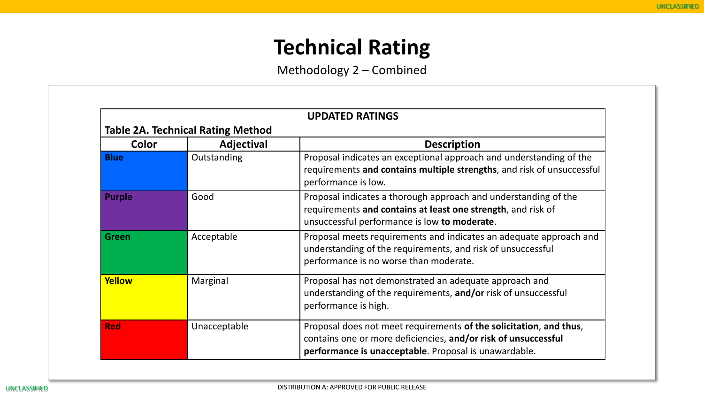# **Technical Rating**

Methodology 2 – Combined

| <b>UPDATED RATINGS</b> |                                          |                                                                                                                                                                                               |  |
|------------------------|------------------------------------------|-----------------------------------------------------------------------------------------------------------------------------------------------------------------------------------------------|--|
|                        | <b>Table 2A. Technical Rating Method</b> |                                                                                                                                                                                               |  |
| <b>Color</b>           | Adjectival                               | <b>Description</b>                                                                                                                                                                            |  |
| <b>Blue</b>            | Outstanding                              | Proposal indicates an exceptional approach and understanding of the<br>requirements and contains multiple strengths, and risk of unsuccessful<br>performance is low.                          |  |
| <b>Purple</b>          | Good                                     | Proposal indicates a thorough approach and understanding of the<br>requirements and contains at least one strength, and risk of<br>unsuccessful performance is low to moderate.               |  |
| <b>Green</b>           | Acceptable                               | Proposal meets requirements and indicates an adequate approach and<br>understanding of the requirements, and risk of unsuccessful<br>performance is no worse than moderate.                   |  |
| Yellow                 | Marginal                                 | Proposal has not demonstrated an adequate approach and<br>understanding of the requirements, and/or risk of unsuccessful<br>performance is high.                                              |  |
| <b>Red</b>             | Unacceptable                             | Proposal does not meet requirements of the solicitation, and thus,<br>contains one or more deficiencies, and/or risk of unsuccessful<br>performance is unacceptable. Proposal is unawardable. |  |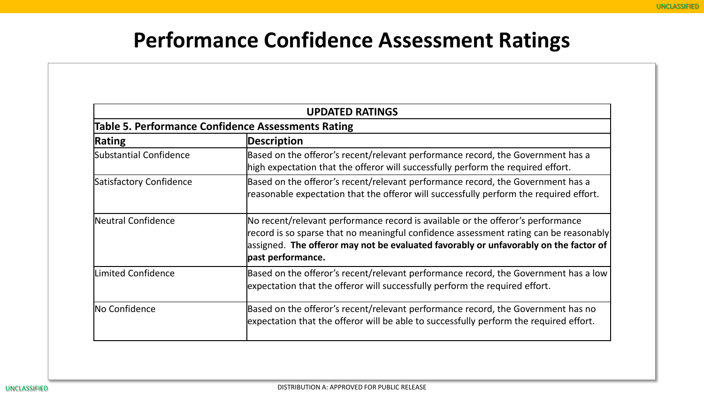# **Performance Confidence Assessment Ratings**

| <b>UPDATED RATINGS</b><br><b>Table 5. Performance Confidence Assessments Rating</b> |                                                                                                                                                                                                                                                                                       |  |  |  |
|-------------------------------------------------------------------------------------|---------------------------------------------------------------------------------------------------------------------------------------------------------------------------------------------------------------------------------------------------------------------------------------|--|--|--|
|                                                                                     |                                                                                                                                                                                                                                                                                       |  |  |  |
| Substantial Confidence                                                              | Based on the offeror's recent/relevant performance record, the Government has a<br>high expectation that the offeror will successfully perform the required effort.                                                                                                                   |  |  |  |
| Satisfactory Confidence                                                             | Based on the offeror's recent/relevant performance record, the Government has a<br>reasonable expectation that the offeror will successfully perform the required effort.                                                                                                             |  |  |  |
| Neutral Confidence                                                                  | No recent/relevant performance record is available or the offeror's performance<br>record is so sparse that no meaningful confidence assessment rating can be reasonably<br>assigned. The offeror may not be evaluated favorably or unfavorably on the factor of<br>past performance. |  |  |  |
| <b>Limited Confidence</b>                                                           | Based on the offeror's recent/relevant performance record, the Government has a low<br>expectation that the offeror will successfully perform the required effort.                                                                                                                    |  |  |  |
| No Confidence                                                                       | Based on the offeror's recent/relevant performance record, the Government has no<br>expectation that the offeror will be able to successfully perform the required effort.                                                                                                            |  |  |  |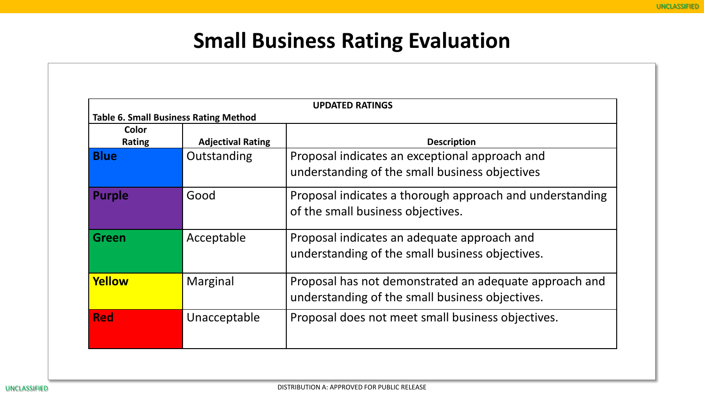# **Small Business Rating Evaluation**

| <b>UPDATED RATINGS</b> |                                                                          |                                                                                                           |  |  |
|------------------------|--------------------------------------------------------------------------|-----------------------------------------------------------------------------------------------------------|--|--|
| Color<br><b>Rating</b> | <b>Table 6. Small Business Rating Method</b><br><b>Adjectival Rating</b> | <b>Description</b>                                                                                        |  |  |
| <b>Blue</b>            | Outstanding                                                              | Proposal indicates an exceptional approach and<br>understanding of the small business objectives          |  |  |
| <b>Purple</b>          | Good                                                                     | Proposal indicates a thorough approach and understanding<br>of the small business objectives.             |  |  |
| <b>Green</b>           | Acceptable                                                               | Proposal indicates an adequate approach and<br>understanding of the small business objectives.            |  |  |
| Yellow                 | Marginal                                                                 | Proposal has not demonstrated an adequate approach and<br>understanding of the small business objectives. |  |  |
| <b>Red</b>             | Unacceptable                                                             | Proposal does not meet small business objectives.                                                         |  |  |